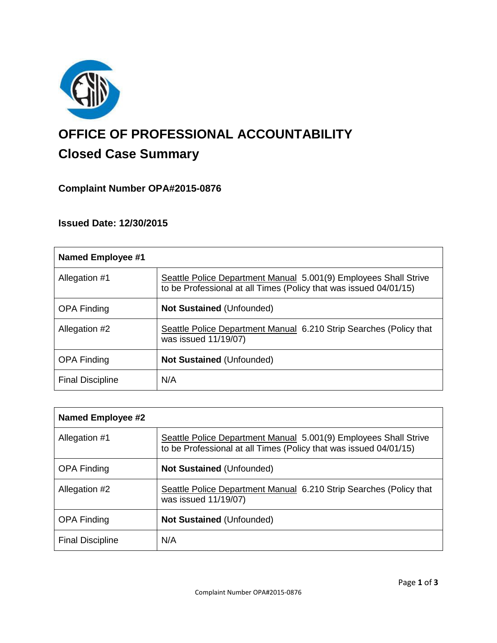

# **OFFICE OF PROFESSIONAL ACCOUNTABILITY Closed Case Summary**

# **Complaint Number OPA#2015-0876**

# **Issued Date: 12/30/2015**

| Named Employee #1       |                                                                                                                                       |
|-------------------------|---------------------------------------------------------------------------------------------------------------------------------------|
| Allegation #1           | Seattle Police Department Manual 5.001(9) Employees Shall Strive<br>to be Professional at all Times (Policy that was issued 04/01/15) |
| <b>OPA Finding</b>      | <b>Not Sustained (Unfounded)</b>                                                                                                      |
| Allegation #2           | Seattle Police Department Manual 6.210 Strip Searches (Policy that<br>was issued 11/19/07)                                            |
| <b>OPA Finding</b>      | <b>Not Sustained (Unfounded)</b>                                                                                                      |
| <b>Final Discipline</b> | N/A                                                                                                                                   |

| <b>Named Employee #2</b> |                                                                                                                                       |
|--------------------------|---------------------------------------------------------------------------------------------------------------------------------------|
| Allegation #1            | Seattle Police Department Manual 5.001(9) Employees Shall Strive<br>to be Professional at all Times (Policy that was issued 04/01/15) |
| <b>OPA Finding</b>       | <b>Not Sustained (Unfounded)</b>                                                                                                      |
| Allegation #2            | Seattle Police Department Manual 6.210 Strip Searches (Policy that<br>was issued 11/19/07)                                            |
| <b>OPA Finding</b>       | <b>Not Sustained (Unfounded)</b>                                                                                                      |
| <b>Final Discipline</b>  | N/A                                                                                                                                   |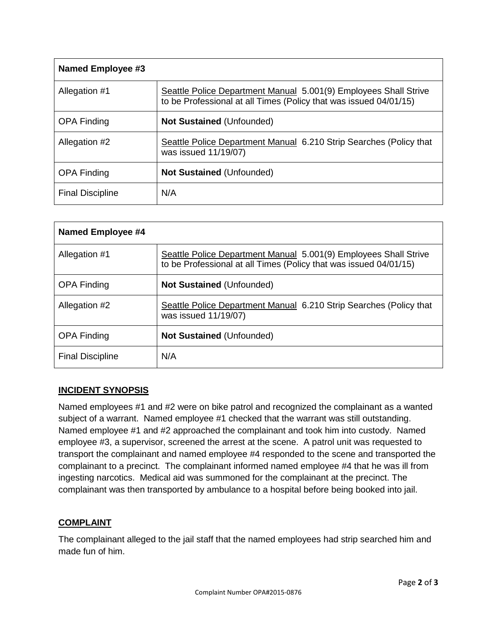| <b>Named Employee #3</b> |                                                                                                                                       |
|--------------------------|---------------------------------------------------------------------------------------------------------------------------------------|
| Allegation #1            | Seattle Police Department Manual 5.001(9) Employees Shall Strive<br>to be Professional at all Times (Policy that was issued 04/01/15) |
| <b>OPA Finding</b>       | <b>Not Sustained (Unfounded)</b>                                                                                                      |
| Allegation #2            | Seattle Police Department Manual 6.210 Strip Searches (Policy that<br>was issued 11/19/07)                                            |
| <b>OPA Finding</b>       | <b>Not Sustained (Unfounded)</b>                                                                                                      |
| <b>Final Discipline</b>  | N/A                                                                                                                                   |

| <b>Named Employee #4</b> |                                                                                                                                       |
|--------------------------|---------------------------------------------------------------------------------------------------------------------------------------|
| Allegation #1            | Seattle Police Department Manual 5.001(9) Employees Shall Strive<br>to be Professional at all Times (Policy that was issued 04/01/15) |
| <b>OPA Finding</b>       | <b>Not Sustained (Unfounded)</b>                                                                                                      |
| Allegation #2            | Seattle Police Department Manual 6.210 Strip Searches (Policy that<br>was issued 11/19/07)                                            |
| <b>OPA Finding</b>       | <b>Not Sustained (Unfounded)</b>                                                                                                      |
| <b>Final Discipline</b>  | N/A                                                                                                                                   |

## **INCIDENT SYNOPSIS**

Named employees #1 and #2 were on bike patrol and recognized the complainant as a wanted subject of a warrant. Named employee #1 checked that the warrant was still outstanding. Named employee #1 and #2 approached the complainant and took him into custody. Named employee #3, a supervisor, screened the arrest at the scene. A patrol unit was requested to transport the complainant and named employee #4 responded to the scene and transported the complainant to a precinct. The complainant informed named employee #4 that he was ill from ingesting narcotics. Medical aid was summoned for the complainant at the precinct. The complainant was then transported by ambulance to a hospital before being booked into jail.

### **COMPLAINT**

The complainant alleged to the jail staff that the named employees had strip searched him and made fun of him.